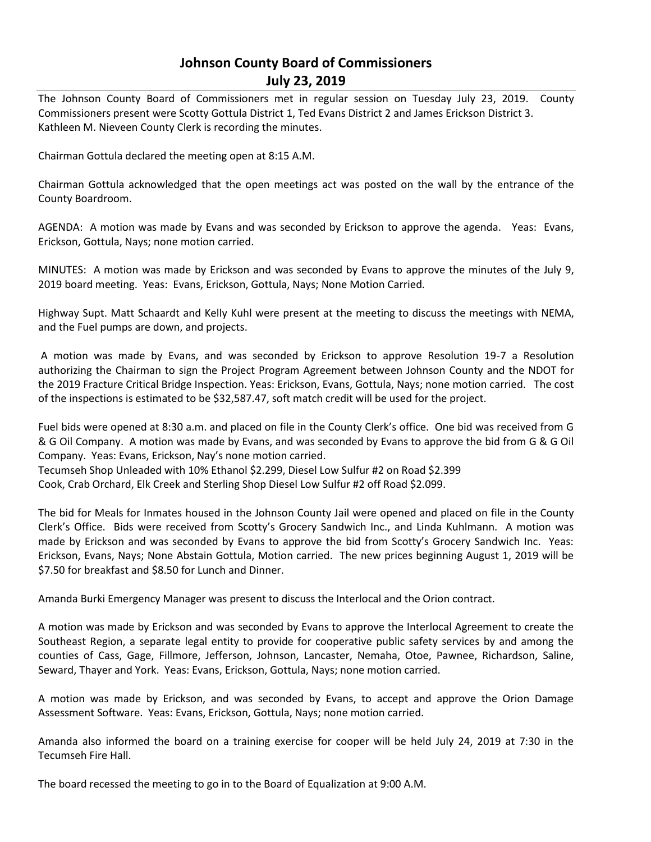# **Johnson County Board of Commissioners July 23, 2019**

The Johnson County Board of Commissioners met in regular session on Tuesday July 23, 2019. County Commissioners present were Scotty Gottula District 1, Ted Evans District 2 and James Erickson District 3. Kathleen M. Nieveen County Clerk is recording the minutes.

Chairman Gottula declared the meeting open at 8:15 A.M.

Chairman Gottula acknowledged that the open meetings act was posted on the wall by the entrance of the County Boardroom.

AGENDA: A motion was made by Evans and was seconded by Erickson to approve the agenda. Yeas: Evans, Erickson, Gottula, Nays; none motion carried.

MINUTES: A motion was made by Erickson and was seconded by Evans to approve the minutes of the July 9, 2019 board meeting. Yeas: Evans, Erickson, Gottula, Nays; None Motion Carried.

Highway Supt. Matt Schaardt and Kelly Kuhl were present at the meeting to discuss the meetings with NEMA, and the Fuel pumps are down, and projects.

A motion was made by Evans, and was seconded by Erickson to approve Resolution 19-7 a Resolution authorizing the Chairman to sign the Project Program Agreement between Johnson County and the NDOT for the 2019 Fracture Critical Bridge Inspection. Yeas: Erickson, Evans, Gottula, Nays; none motion carried. The cost of the inspections is estimated to be \$32,587.47, soft match credit will be used for the project.

Fuel bids were opened at 8:30 a.m. and placed on file in the County Clerk's office. One bid was received from G & G Oil Company. A motion was made by Evans, and was seconded by Evans to approve the bid from G & G Oil Company. Yeas: Evans, Erickson, Nay's none motion carried.

Tecumseh Shop Unleaded with 10% Ethanol \$2.299, Diesel Low Sulfur #2 on Road \$2.399

Cook, Crab Orchard, Elk Creek and Sterling Shop Diesel Low Sulfur #2 off Road \$2.099.

The bid for Meals for Inmates housed in the Johnson County Jail were opened and placed on file in the County Clerk's Office. Bids were received from Scotty's Grocery Sandwich Inc., and Linda Kuhlmann. A motion was made by Erickson and was seconded by Evans to approve the bid from Scotty's Grocery Sandwich Inc. Yeas: Erickson, Evans, Nays; None Abstain Gottula, Motion carried. The new prices beginning August 1, 2019 will be \$7.50 for breakfast and \$8.50 for Lunch and Dinner.

Amanda Burki Emergency Manager was present to discuss the Interlocal and the Orion contract.

A motion was made by Erickson and was seconded by Evans to approve the Interlocal Agreement to create the Southeast Region, a separate legal entity to provide for cooperative public safety services by and among the counties of Cass, Gage, Fillmore, Jefferson, Johnson, Lancaster, Nemaha, Otoe, Pawnee, Richardson, Saline, Seward, Thayer and York. Yeas: Evans, Erickson, Gottula, Nays; none motion carried.

A motion was made by Erickson, and was seconded by Evans, to accept and approve the Orion Damage Assessment Software. Yeas: Evans, Erickson, Gottula, Nays; none motion carried.

Amanda also informed the board on a training exercise for cooper will be held July 24, 2019 at 7:30 in the Tecumseh Fire Hall.

The board recessed the meeting to go in to the Board of Equalization at 9:00 A.M.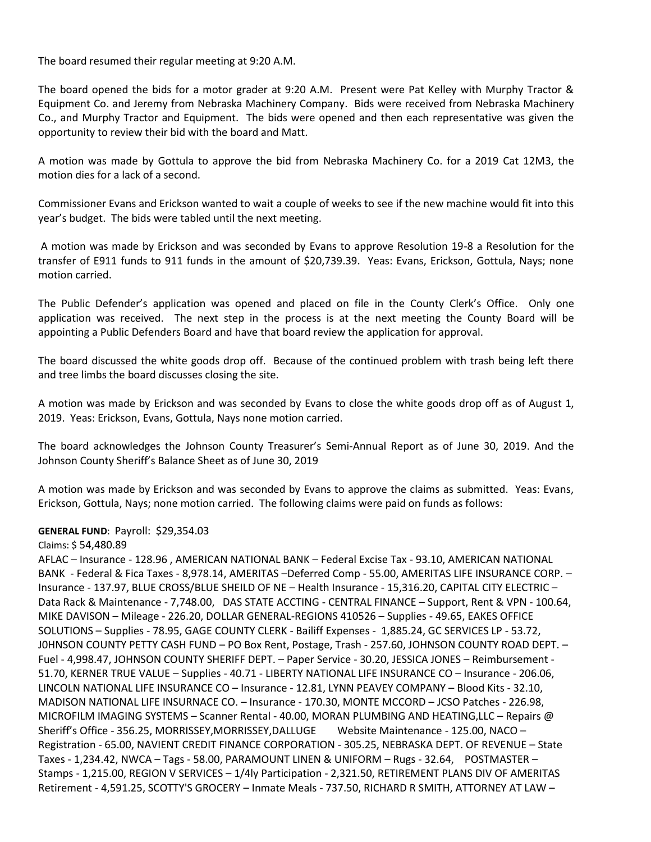The board resumed their regular meeting at 9:20 A.M.

The board opened the bids for a motor grader at 9:20 A.M. Present were Pat Kelley with Murphy Tractor & Equipment Co. and Jeremy from Nebraska Machinery Company. Bids were received from Nebraska Machinery Co., and Murphy Tractor and Equipment. The bids were opened and then each representative was given the opportunity to review their bid with the board and Matt.

A motion was made by Gottula to approve the bid from Nebraska Machinery Co. for a 2019 Cat 12M3, the motion dies for a lack of a second.

Commissioner Evans and Erickson wanted to wait a couple of weeks to see if the new machine would fit into this year's budget. The bids were tabled until the next meeting.

A motion was made by Erickson and was seconded by Evans to approve Resolution 19-8 a Resolution for the transfer of E911 funds to 911 funds in the amount of \$20,739.39. Yeas: Evans, Erickson, Gottula, Nays; none motion carried.

The Public Defender's application was opened and placed on file in the County Clerk's Office. Only one application was received. The next step in the process is at the next meeting the County Board will be appointing a Public Defenders Board and have that board review the application for approval.

The board discussed the white goods drop off. Because of the continued problem with trash being left there and tree limbs the board discusses closing the site.

A motion was made by Erickson and was seconded by Evans to close the white goods drop off as of August 1, 2019. Yeas: Erickson, Evans, Gottula, Nays none motion carried.

The board acknowledges the Johnson County Treasurer's Semi-Annual Report as of June 30, 2019. And the Johnson County Sheriff's Balance Sheet as of June 30, 2019

A motion was made by Erickson and was seconded by Evans to approve the claims as submitted. Yeas: Evans, Erickson, Gottula, Nays; none motion carried. The following claims were paid on funds as follows:

## **GENERAL FUND**: Payroll: \$29,354.03

Claims: \$ 54,480.89

AFLAC – Insurance - 128.96 , AMERICAN NATIONAL BANK – Federal Excise Tax - 93.10, AMERICAN NATIONAL BANK - Federal & Fica Taxes - 8,978.14, AMERITAS –Deferred Comp - 55.00, AMERITAS LIFE INSURANCE CORP. – Insurance - 137.97, BLUE CROSS/BLUE SHEILD OF NE – Health Insurance - 15,316.20, CAPITAL CITY ELECTRIC – Data Rack & Maintenance - 7,748.00, DAS STATE ACCTING - CENTRAL FINANCE – Support, Rent & VPN - 100.64, MIKE DAVISON – Mileage - 226.20, DOLLAR GENERAL-REGIONS 410526 – Supplies - 49.65, EAKES OFFICE SOLUTIONS – Supplies - 78.95, GAGE COUNTY CLERK - Bailiff Expenses - 1,885.24, GC SERVICES LP - 53.72, J0HNSON COUNTY PETTY CASH FUND – PO Box Rent, Postage, Trash - 257.60, JOHNSON COUNTY ROAD DEPT. – Fuel - 4,998.47, JOHNSON COUNTY SHERIFF DEPT. – Paper Service - 30.20, JESSICA JONES – Reimbursement - 51.70, KERNER TRUE VALUE – Supplies - 40.71 - LIBERTY NATIONAL LIFE INSURANCE CO – Insurance - 206.06, LINCOLN NATIONAL LIFE INSURANCE CO – Insurance - 12.81, LYNN PEAVEY COMPANY – Blood Kits - 32.10, MADISON NATIONAL LIFE INSURNACE CO. – Insurance - 170.30, MONTE MCCORD – JCSO Patches - 226.98, MICROFILM IMAGING SYSTEMS – Scanner Rental - 40.00, MORAN PLUMBING AND HEATING,LLC – Repairs @ Sheriff's Office - 356.25, MORRISSEY,MORRISSEY,DALLUGE Website Maintenance - 125.00, NACO – Registration - 65.00, NAVIENT CREDIT FINANCE CORPORATION - 305.25, NEBRASKA DEPT. OF REVENUE – State Taxes - 1,234.42, NWCA – Tags - 58.00, PARAMOUNT LINEN & UNIFORM – Rugs - 32.64, POSTMASTER – Stamps - 1,215.00, REGION V SERVICES – 1/4ly Participation - 2,321.50, RETIREMENT PLANS DIV OF AMERITAS Retirement - 4,591.25, SCOTTY'S GROCERY – Inmate Meals - 737.50, RICHARD R SMITH, ATTORNEY AT LAW –